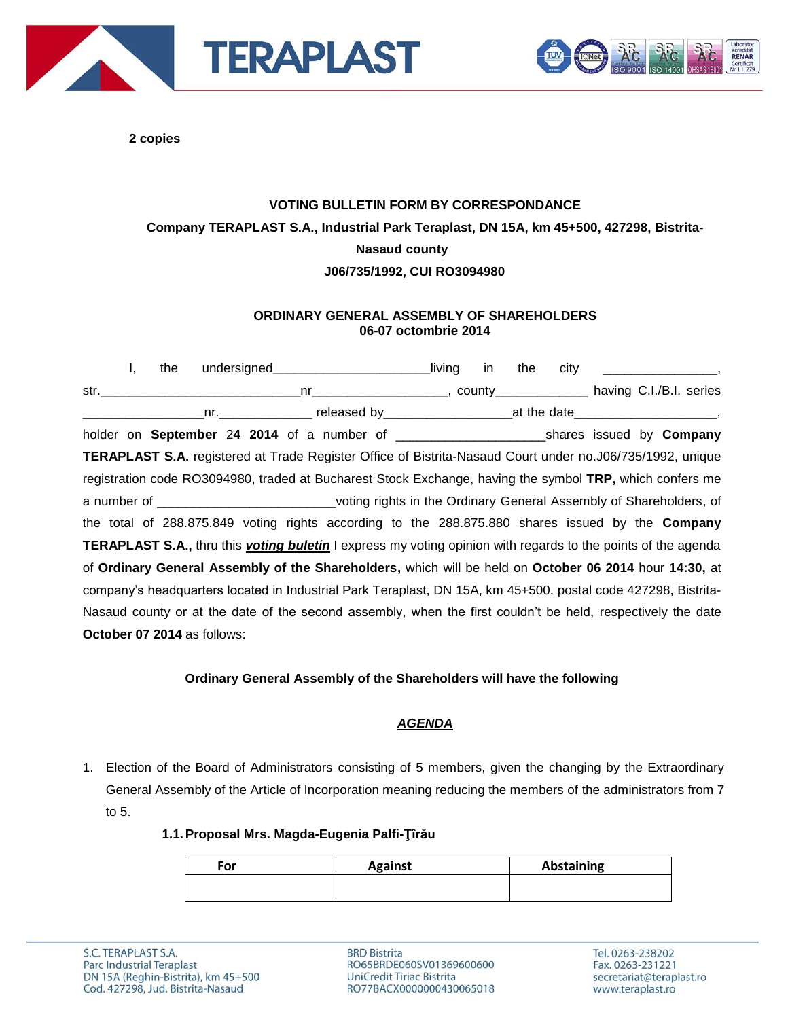



**2 copies**

# **VOTING BULLETIN FORM BY CORRESPONDANCE Company TERAPLAST S.A., Industrial Park Teraplast, DN 15A, km 45+500, 427298, Bistrita-Nasaud county J06/735/1992, CUI RO3094980**

## **ORDINARY GENERAL ASSEMBLY OF SHAREHOLDERS 06-07 octombrie 2014**

I, the undersigned\_\_\_\_\_\_\_\_\_\_\_\_\_\_\_\_\_\_\_\_\_\_\_\_living in the city str.\_\_\_\_\_\_\_\_\_\_\_\_\_\_\_\_\_\_\_\_\_\_\_\_\_\_\_\_nr\_\_\_\_\_\_\_\_\_\_\_\_\_\_\_\_\_\_\_, county\_\_\_\_\_\_\_\_\_\_\_\_\_ having C.I./B.I. series nr. The preference of the date of the date of the date of the date of the date of the date of the date of the date of the date of the date of the date of the date of the date of the date of the date of the date of the date holder on **September** 2**4 2014** of a number of \_\_\_\_\_\_\_\_\_\_\_\_\_\_\_\_\_\_\_\_\_shares issued by **Company TERAPLAST S.A.** registered at Trade Register Office of Bistrita-Nasaud Court under no.J06/735/1992, unique registration code RO3094980, traded at Bucharest Stock Exchange, having the symbol **TRP,** which confers me a number of \_\_\_\_\_\_\_\_\_\_\_\_\_\_\_\_\_\_\_\_\_\_\_\_\_voting rights in the Ordinary General Assembly of Shareholders, of the total of 288.875.849 voting rights according to the 288.875.880 shares issued by the **Company TERAPLAST S.A.,** thru this *voting buletin* I express my voting opinion with regards to the points of the agenda of **Ordinary General Assembly of the Shareholders,** which will be held on **October 06 2014** hour **14:30,** at company's headquarters located in Industrial Park Teraplast, DN 15A, km 45+500, postal code 427298, Bistrita-Nasaud county or at the date of the second assembly, when the first couldn't be held, respectively the date **October 07 2014** as follows:

# **Ordinary General Assembly of the Shareholders will have the following**

# *AGENDA*

1. Election of the Board of Administrators consisting of 5 members, given the changing by the Extraordinary General Assembly of the Article of Incorporation meaning reducing the members of the administrators from 7 to 5.

### **1.1.Proposal Mrs. Magda-Eugenia Palfi-Ţîrău**

| For | <b>Against</b> | Abstaining |
|-----|----------------|------------|
|     |                |            |
|     |                |            |

**BRD Bistrita** RO65BRDE060SV01369600600 UniCredit Tiriac Bistrita RO77BACX0000000430065018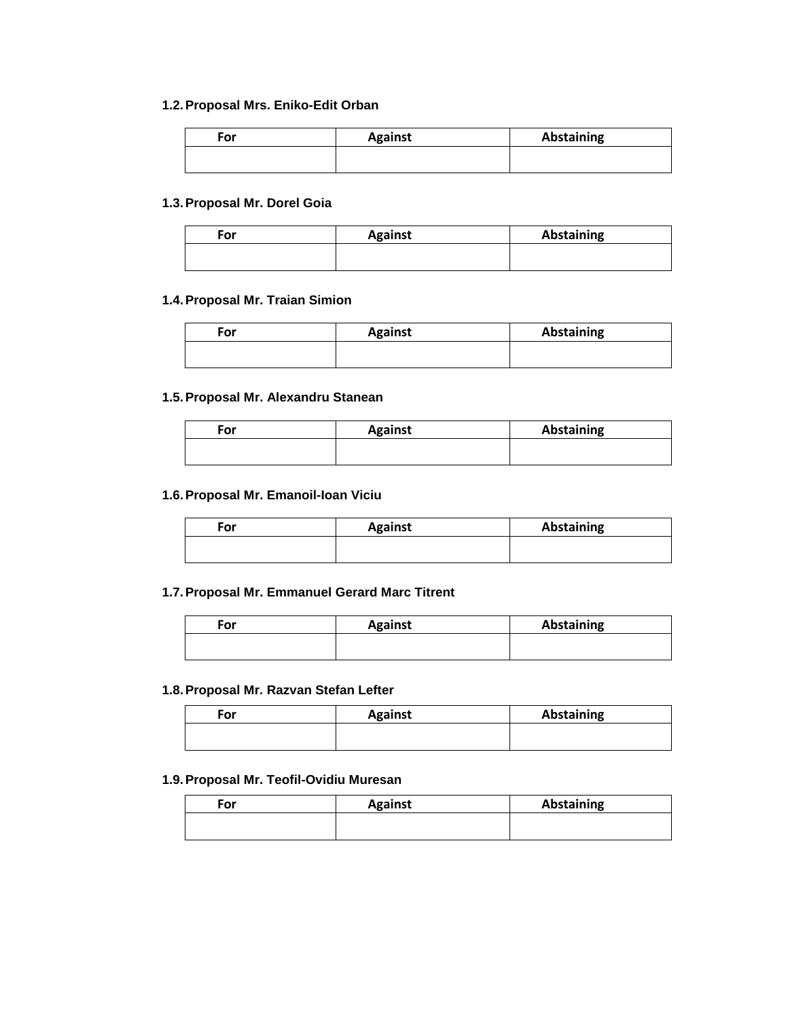#### **1.2.Proposal Mrs. Eniko-Edit Orban**

| ™or | <b>Against</b> | Abstaining |
|-----|----------------|------------|
|     |                |            |

#### **1.3.Proposal Mr. Dorel Goia**

| For | <b>Against</b> | Abstaining |
|-----|----------------|------------|
|     |                |            |
|     |                |            |

#### **1.4.Proposal Mr. Traian Simion**

| For | <b>Against</b> | Abstaining |
|-----|----------------|------------|
|     |                |            |

#### **1.5.Proposal Mr. Alexandru Stanean**

| For | <b>Against</b> | <b>Abstaining</b> |
|-----|----------------|-------------------|
|     |                |                   |

#### **1.6.Proposal Mr. Emanoil-Ioan Viciu**

| For | <b>Against</b> | <b>Abstaining</b> |
|-----|----------------|-------------------|
|     |                |                   |

#### **1.7.Proposal Mr. Emmanuel Gerard Marc Titrent**

| For | <b>Against</b> | Abstaining |
|-----|----------------|------------|
|     |                |            |
|     |                |            |

#### **1.8.Proposal Mr. Razvan Stefan Lefter**

| For | <b>Against</b> | Abstaining |
|-----|----------------|------------|
|     |                |            |

## **1.9.Proposal Mr. Teofil-Ovidiu Muresan**

| For | <b>Against</b> | Abstaining |
|-----|----------------|------------|
|     |                |            |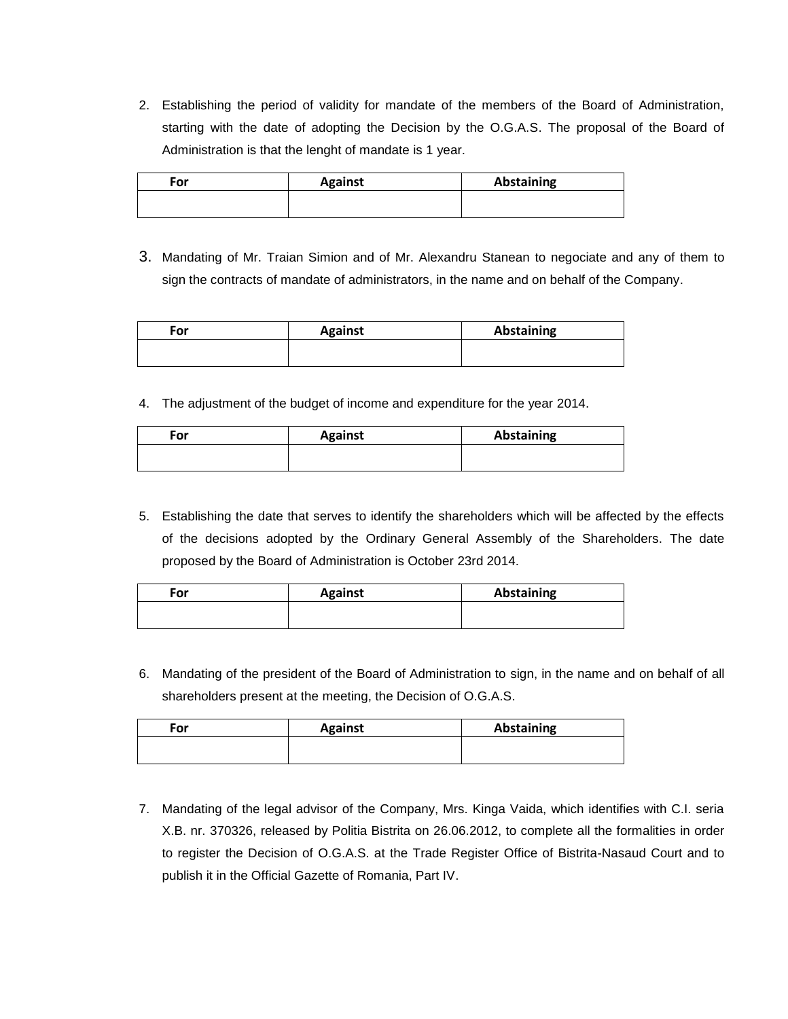2. Establishing the period of validity for mandate of the members of the Board of Administration, starting with the date of adopting the Decision by the O.G.A.S. The proposal of the Board of Administration is that the lenght of mandate is 1 year.

| For | <b>Against</b> | <b>Abstaining</b> |
|-----|----------------|-------------------|
|     |                |                   |

3. Mandating of Mr. Traian Simion and of Mr. Alexandru Stanean to negociate and any of them to sign the contracts of mandate of administrators, in the name and on behalf of the Company.

| For | <b>Against</b> | Abstaining |
|-----|----------------|------------|
|     |                |            |

4. The adjustment of the budget of income and expenditure for the year 2014.

| For | <b>Against</b> | <b>Abstaining</b> |
|-----|----------------|-------------------|
|     |                |                   |

5. Establishing the date that serves to identify the shareholders which will be affected by the effects of the decisions adopted by the Ordinary General Assembly of the Shareholders. The date proposed by the Board of Administration is October 23rd 2014.

| For | <b>Against</b> | Abstaining |
|-----|----------------|------------|
|     |                |            |

6. Mandating of the president of the Board of Administration to sign, in the name and on behalf of all shareholders present at the meeting, the Decision of O.G.A.S.

| For | <b>Against</b> | <b>Abstaining</b> |
|-----|----------------|-------------------|
|     |                |                   |

7. Mandating of the legal advisor of the Company, Mrs. Kinga Vaida, which identifies with C.I. seria X.B. nr. 370326, released by Politia Bistrita on 26.06.2012, to complete all the formalities in order to register the Decision of O.G.A.S. at the Trade Register Office of Bistrita-Nasaud Court and to publish it in the Official Gazette of Romania, Part IV.